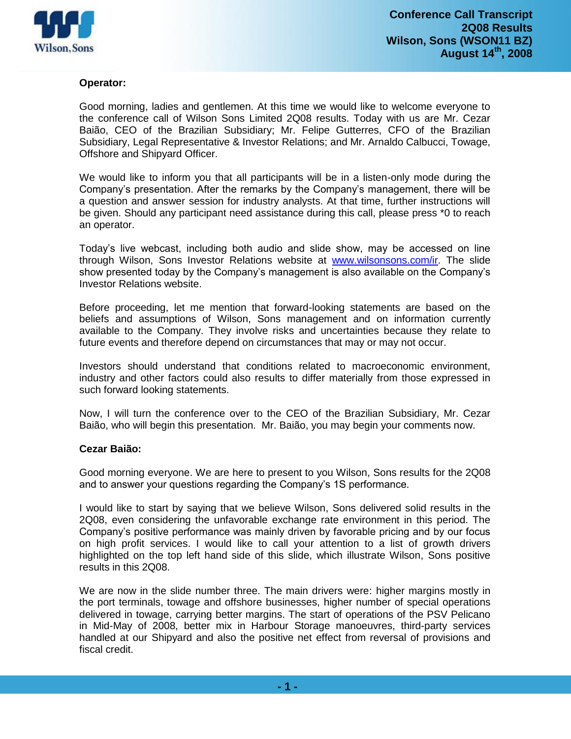

# **Operator:**

Good morning, ladies and gentlemen. At this time we would like to welcome everyone to the conference call of Wilson Sons Limited 2Q08 results. Today with us are Mr. Cezar Baião, CEO of the Brazilian Subsidiary; Mr. Felipe Gutterres, CFO of the Brazilian Subsidiary, Legal Representative & Investor Relations; and Mr. Arnaldo Calbucci, Towage, Offshore and Shipyard Officer.

We would like to inform you that all participants will be in a listen-only mode during the Company's presentation. After the remarks by the Company's management, there will be a question and answer session for industry analysts. At that time, further instructions will be given. Should any participant need assistance during this call, please press \*0 to reach an operator.

Today's live webcast, including both audio and slide show, may be accessed on line through Wilson, Sons Investor Relations website at [www.wilsonsons.com/ir.](../Configura��es%20locais/Temp/notes240FC1/www.wilsonsons.com/ir) The slide show presented today by the Company's management is also available on the Company's Investor Relations website.

Before proceeding, let me mention that forward-looking statements are based on the beliefs and assumptions of Wilson, Sons management and on information currently available to the Company. They involve risks and uncertainties because they relate to future events and therefore depend on circumstances that may or may not occur.

Investors should understand that conditions related to macroeconomic environment, industry and other factors could also results to differ materially from those expressed in such forward looking statements.

Now, I will turn the conference over to the CEO of the Brazilian Subsidiary, Mr. Cezar Baião, who will begin this presentation. Mr. Baião, you may begin your comments now.

### **Cezar Baião:**

Good morning everyone. We are here to present to you Wilson, Sons results for the 2Q08 and to answer your questions regarding the Company's 1S performance.

I would like to start by saying that we believe Wilson, Sons delivered solid results in the 2Q08, even considering the unfavorable exchange rate environment in this period. The Company's positive performance was mainly driven by favorable pricing and by our focus on high profit services. I would like to call your attention to a list of growth drivers highlighted on the top left hand side of this slide, which illustrate Wilson, Sons positive results in this 2Q08.

We are now in the slide number three. The main drivers were: higher margins mostly in the port terminals, towage and offshore businesses, higher number of special operations delivered in towage, carrying better margins. The start of operations of the PSV Pelicano in Mid-May of 2008, better mix in Harbour Storage manoeuvres, third-party services handled at our Shipyard and also the positive net effect from reversal of provisions and fiscal credit.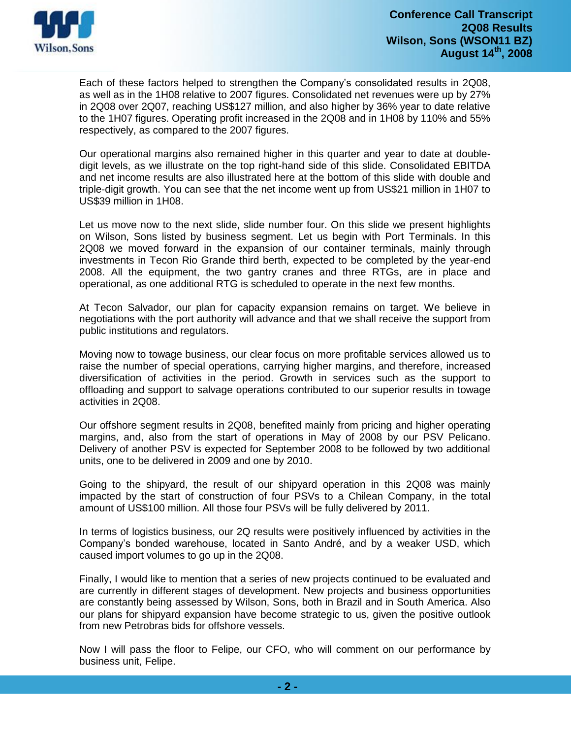

Each of these factors helped to strengthen the Company's consolidated results in 2Q08, as well as in the 1H08 relative to 2007 figures. Consolidated net revenues were up by 27% in 2Q08 over 2Q07, reaching US\$127 million, and also higher by 36% year to date relative to the 1H07 figures. Operating profit increased in the 2Q08 and in 1H08 by 110% and 55% respectively, as compared to the 2007 figures.

Our operational margins also remained higher in this quarter and year to date at doubledigit levels, as we illustrate on the top right-hand side of this slide. Consolidated EBITDA and net income results are also illustrated here at the bottom of this slide with double and triple-digit growth. You can see that the net income went up from US\$21 million in 1H07 to US\$39 million in 1H08.

Let us move now to the next slide, slide number four. On this slide we present highlights on Wilson, Sons listed by business segment. Let us begin with Port Terminals. In this 2Q08 we moved forward in the expansion of our container terminals, mainly through investments in Tecon Rio Grande third berth, expected to be completed by the year-end 2008. All the equipment, the two gantry cranes and three RTGs, are in place and operational, as one additional RTG is scheduled to operate in the next few months.

At Tecon Salvador, our plan for capacity expansion remains on target. We believe in negotiations with the port authority will advance and that we shall receive the support from public institutions and regulators.

Moving now to towage business, our clear focus on more profitable services allowed us to raise the number of special operations, carrying higher margins, and therefore, increased diversification of activities in the period. Growth in services such as the support to offloading and support to salvage operations contributed to our superior results in towage activities in 2Q08.

Our offshore segment results in 2Q08, benefited mainly from pricing and higher operating margins, and, also from the start of operations in May of 2008 by our PSV Pelicano. Delivery of another PSV is expected for September 2008 to be followed by two additional units, one to be delivered in 2009 and one by 2010.

Going to the shipyard, the result of our shipyard operation in this 2Q08 was mainly impacted by the start of construction of four PSVs to a Chilean Company, in the total amount of US\$100 million. All those four PSVs will be fully delivered by 2011.

In terms of logistics business, our 2Q results were positively influenced by activities in the Company's bonded warehouse, located in Santo André, and by a weaker USD, which caused import volumes to go up in the 2Q08.

Finally, I would like to mention that a series of new projects continued to be evaluated and are currently in different stages of development. New projects and business opportunities are constantly being assessed by Wilson, Sons, both in Brazil and in South America. Also our plans for shipyard expansion have become strategic to us, given the positive outlook from new Petrobras bids for offshore vessels.

Now I will pass the floor to Felipe, our CFO, who will comment on our performance by business unit, Felipe.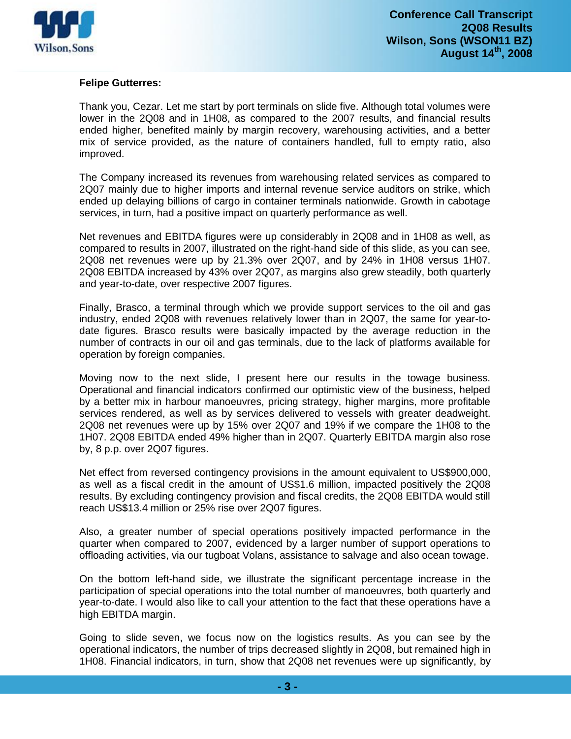

## **Felipe Gutterres:**

Thank you, Cezar. Let me start by port terminals on slide five. Although total volumes were lower in the 2Q08 and in 1H08, as compared to the 2007 results, and financial results ended higher, benefited mainly by margin recovery, warehousing activities, and a better mix of service provided, as the nature of containers handled, full to empty ratio, also improved.

The Company increased its revenues from warehousing related services as compared to 2Q07 mainly due to higher imports and internal revenue service auditors on strike, which ended up delaying billions of cargo in container terminals nationwide. Growth in cabotage services, in turn, had a positive impact on quarterly performance as well.

Net revenues and EBITDA figures were up considerably in 2Q08 and in 1H08 as well, as compared to results in 2007, illustrated on the right-hand side of this slide, as you can see, 2Q08 net revenues were up by 21.3% over 2Q07, and by 24% in 1H08 versus 1H07. 2Q08 EBITDA increased by 43% over 2Q07, as margins also grew steadily, both quarterly and year-to-date, over respective 2007 figures.

Finally, Brasco, a terminal through which we provide support services to the oil and gas industry, ended 2Q08 with revenues relatively lower than in 2Q07, the same for year-todate figures. Brasco results were basically impacted by the average reduction in the number of contracts in our oil and gas terminals, due to the lack of platforms available for operation by foreign companies.

Moving now to the next slide, I present here our results in the towage business. Operational and financial indicators confirmed our optimistic view of the business, helped by a better mix in harbour manoeuvres, pricing strategy, higher margins, more profitable services rendered, as well as by services delivered to vessels with greater deadweight. 2Q08 net revenues were up by 15% over 2Q07 and 19% if we compare the 1H08 to the 1H07. 2Q08 EBITDA ended 49% higher than in 2Q07. Quarterly EBITDA margin also rose by, 8 p.p. over 2Q07 figures.

Net effect from reversed contingency provisions in the amount equivalent to US\$900,000, as well as a fiscal credit in the amount of US\$1.6 million, impacted positively the 2Q08 results. By excluding contingency provision and fiscal credits, the 2Q08 EBITDA would still reach US\$13.4 million or 25% rise over 2Q07 figures.

Also, a greater number of special operations positively impacted performance in the quarter when compared to 2007, evidenced by a larger number of support operations to offloading activities, via our tugboat Volans, assistance to salvage and also ocean towage.

On the bottom left-hand side, we illustrate the significant percentage increase in the participation of special operations into the total number of manoeuvres, both quarterly and year-to-date. I would also like to call your attention to the fact that these operations have a high EBITDA margin.

Going to slide seven, we focus now on the logistics results. As you can see by the operational indicators, the number of trips decreased slightly in 2Q08, but remained high in 1H08. Financial indicators, in turn, show that 2Q08 net revenues were up significantly, by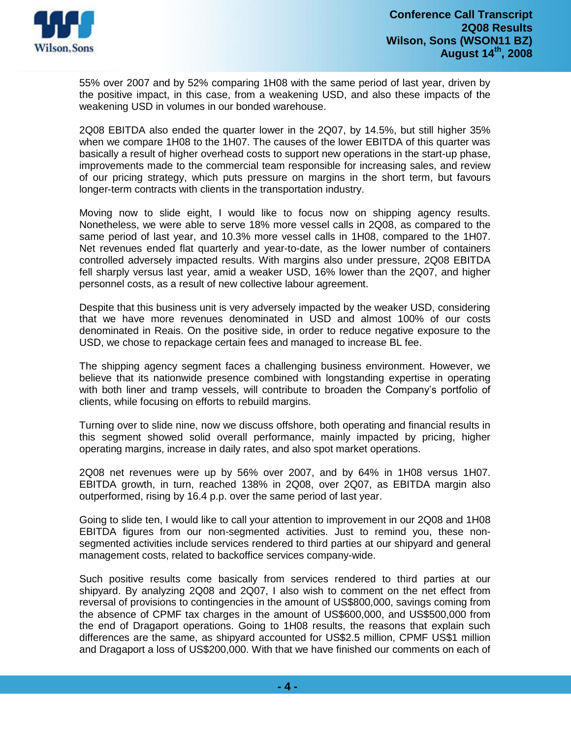

55% over 2007 and by 52% comparing 1H08 with the same period of last year, driven by the positive impact, in this case, from a weakening USD, and also these impacts of the weakening USD in volumes in our bonded warehouse.

2Q08 EBITDA also ended the quarter lower in the 2Q07, by 14.5%, but still higher 35% when we compare 1H08 to the 1H07. The causes of the lower EBITDA of this quarter was basically a result of higher overhead costs to support new operations in the start-up phase, improvements made to the commercial team responsible for increasing sales, and review of our pricing strategy, which puts pressure on margins in the short term, but favours longer-term contracts with clients in the transportation industry.

Moving now to slide eight, I would like to focus now on shipping agency results. Nonetheless, we were able to serve 18% more vessel calls in 2Q08, as compared to the same period of last year, and 10.3% more vessel calls in 1H08, compared to the 1H07. Net revenues ended flat quarterly and year-to-date, as the lower number of containers controlled adversely impacted results. With margins also under pressure, 2Q08 EBITDA fell sharply versus last year, amid a weaker USD, 16% lower than the 2Q07, and higher personnel costs, as a result of new collective labour agreement.

Despite that this business unit is very adversely impacted by the weaker USD, considering that we have more revenues denominated in USD and almost 100% of our costs denominated in Reais. On the positive side, in order to reduce negative exposure to the USD, we chose to repackage certain fees and managed to increase BL fee.

The shipping agency segment faces a challenging business environment. However, we believe that its nationwide presence combined with longstanding expertise in operating with both liner and tramp vessels, will contribute to broaden the Company's portfolio of clients, while focusing on efforts to rebuild margins.

Turning over to slide nine, now we discuss offshore, both operating and financial results in this segment showed solid overall performance, mainly impacted by pricing, higher operating margins, increase in daily rates, and also spot market operations.

2Q08 net revenues were up by 56% over 2007, and by 64% in 1H08 versus 1H07. EBITDA growth, in turn, reached 138% in 2Q08, over 2Q07, as EBITDA margin also outperformed, rising by 16.4 p.p. over the same period of last year.

Going to slide ten, I would like to call your attention to improvement in our 2Q08 and 1H08 EBITDA figures from our non-segmented activities. Just to remind you, these nonsegmented activities include services rendered to third parties at our shipyard and general management costs, related to backoffice services company-wide.

Such positive results come basically from services rendered to third parties at our shipyard. By analyzing 2Q08 and 2Q07, I also wish to comment on the net effect from reversal of provisions to contingencies in the amount of US\$800,000, savings coming from the absence of CPMF tax charges in the amount of US\$600,000, and US\$500,000 from the end of Dragaport operations. Going to 1H08 results, the reasons that explain such differences are the same, as shipyard accounted for US\$2.5 million, CPMF US\$1 million and Dragaport a loss of US\$200,000. With that we have finished our comments on each of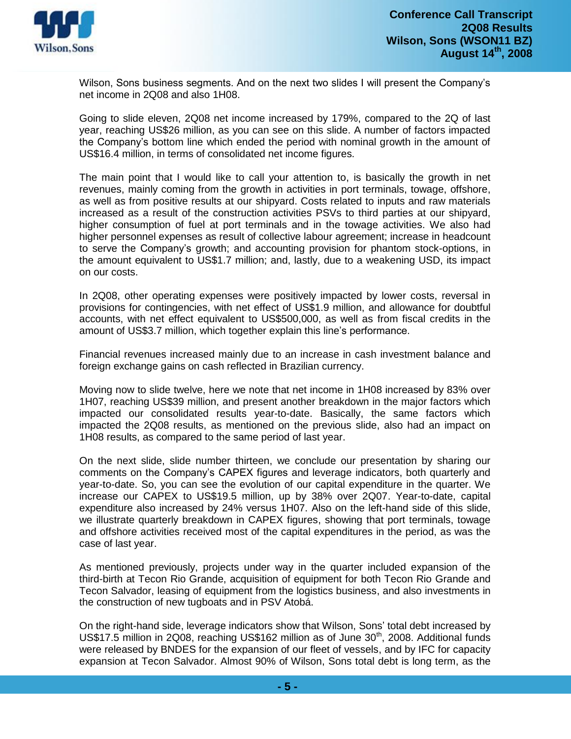

Wilson, Sons business segments. And on the next two slides I will present the Company's net income in 2Q08 and also 1H08.

Going to slide eleven, 2Q08 net income increased by 179%, compared to the 2Q of last year, reaching US\$26 million, as you can see on this slide. A number of factors impacted the Company's bottom line which ended the period with nominal growth in the amount of US\$16.4 million, in terms of consolidated net income figures.

The main point that I would like to call your attention to, is basically the growth in net revenues, mainly coming from the growth in activities in port terminals, towage, offshore, as well as from positive results at our shipyard. Costs related to inputs and raw materials increased as a result of the construction activities PSVs to third parties at our shipyard, higher consumption of fuel at port terminals and in the towage activities. We also had higher personnel expenses as result of collective labour agreement; increase in headcount to serve the Company's growth; and accounting provision for phantom stock-options, in the amount equivalent to US\$1.7 million; and, lastly, due to a weakening USD, its impact on our costs.

In 2Q08, other operating expenses were positively impacted by lower costs, reversal in provisions for contingencies, with net effect of US\$1.9 million, and allowance for doubtful accounts, with net effect equivalent to US\$500,000, as well as from fiscal credits in the amount of US\$3.7 million, which together explain this line's performance.

Financial revenues increased mainly due to an increase in cash investment balance and foreign exchange gains on cash reflected in Brazilian currency.

Moving now to slide twelve, here we note that net income in 1H08 increased by 83% over 1H07, reaching US\$39 million, and present another breakdown in the major factors which impacted our consolidated results year-to-date. Basically, the same factors which impacted the 2Q08 results, as mentioned on the previous slide, also had an impact on 1H08 results, as compared to the same period of last year.

On the next slide, slide number thirteen, we conclude our presentation by sharing our comments on the Company's CAPEX figures and leverage indicators, both quarterly and year-to-date. So, you can see the evolution of our capital expenditure in the quarter. We increase our CAPEX to US\$19.5 million, up by 38% over 2Q07. Year-to-date, capital expenditure also increased by 24% versus 1H07. Also on the left-hand side of this slide, we illustrate quarterly breakdown in CAPEX figures, showing that port terminals, towage and offshore activities received most of the capital expenditures in the period, as was the case of last year.

As mentioned previously, projects under way in the quarter included expansion of the third-birth at Tecon Rio Grande, acquisition of equipment for both Tecon Rio Grande and Tecon Salvador, leasing of equipment from the logistics business, and also investments in the construction of new tugboats and in PSV Atobá.

On the right-hand side, leverage indicators show that Wilson, Sons' total debt increased by US\$17.5 million in 2Q08, reaching US\$162 million as of June 30<sup>th</sup>, 2008. Additional funds were released by BNDES for the expansion of our fleet of vessels, and by IFC for capacity expansion at Tecon Salvador. Almost 90% of Wilson, Sons total debt is long term, as the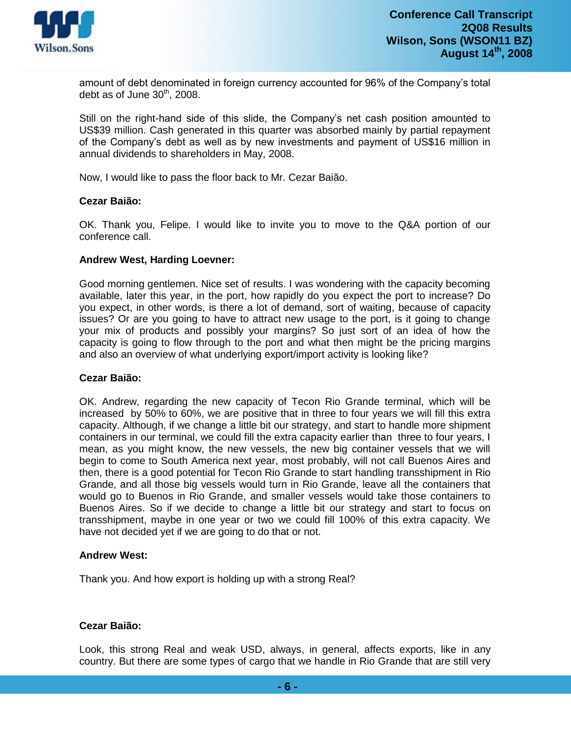

amount of debt denominated in foreign currency accounted for 96% of the Company's total debt as of June 30<sup>th</sup>, 2008.

Still on the right-hand side of this slide, the Company's net cash position amounted to US\$39 million. Cash generated in this quarter was absorbed mainly by partial repayment of the Company's debt as well as by new investments and payment of US\$16 million in annual dividends to shareholders in May, 2008.

Now, I would like to pass the floor back to Mr. Cezar Baião.

#### **Cezar Baião:**

OK. Thank you, Felipe. I would like to invite you to move to the Q&A portion of our conference call.

#### **Andrew West, Harding Loevner:**

Good morning gentlemen. Nice set of results. I was wondering with the capacity becoming available, later this year, in the port, how rapidly do you expect the port to increase? Do you expect, in other words, is there a lot of demand, sort of waiting, because of capacity issues? Or are you going to have to attract new usage to the port, is it going to change your mix of products and possibly your margins? So just sort of an idea of how the capacity is going to flow through to the port and what then might be the pricing margins and also an overview of what underlying export/import activity is looking like?

#### **Cezar Baião:**

OK. Andrew, regarding the new capacity of Tecon Rio Grande terminal, which will be increased by 50% to 60%, we are positive that in three to four years we will fill this extra capacity. Although, if we change a little bit our strategy, and start to handle more shipment containers in our terminal, we could fill the extra capacity earlier than three to four years, I mean, as you might know, the new vessels, the new big container vessels that we will begin to come to South America next year, most probably, will not call Buenos Aires and then, there is a good potential for Tecon Rio Grande to start handling transshipment in Rio Grande, and all those big vessels would turn in Rio Grande, leave all the containers that would go to Buenos in Rio Grande, and smaller vessels would take those containers to Buenos Aires. So if we decide to change a little bit our strategy and start to focus on transshipment, maybe in one year or two we could fill 100% of this extra capacity. We have not decided yet if we are going to do that or not.

#### **Andrew West:**

Thank you. And how export is holding up with a strong Real?

# **Cezar Baião:**

Look, this strong Real and weak USD, always, in general, affects exports, like in any country. But there are some types of cargo that we handle in Rio Grande that are still very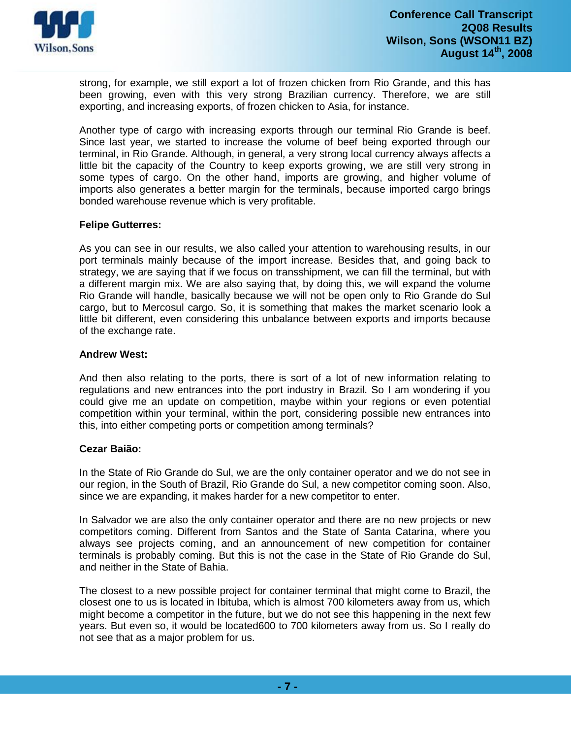

strong, for example, we still export a lot of frozen chicken from Rio Grande, and this has been growing, even with this very strong Brazilian currency. Therefore, we are still exporting, and increasing exports, of frozen chicken to Asia, for instance.

Another type of cargo with increasing exports through our terminal Rio Grande is beef. Since last year, we started to increase the volume of beef being exported through our terminal, in Rio Grande. Although, in general, a very strong local currency always affects a little bit the capacity of the Country to keep exports growing, we are still very strong in some types of cargo. On the other hand, imports are growing, and higher volume of imports also generates a better margin for the terminals, because imported cargo brings bonded warehouse revenue which is very profitable.

### **Felipe Gutterres:**

As you can see in our results, we also called your attention to warehousing results, in our port terminals mainly because of the import increase. Besides that, and going back to strategy, we are saying that if we focus on transshipment, we can fill the terminal, but with a different margin mix. We are also saying that, by doing this, we will expand the volume Rio Grande will handle, basically because we will not be open only to Rio Grande do Sul cargo, but to Mercosul cargo. So, it is something that makes the market scenario look a little bit different, even considering this unbalance between exports and imports because of the exchange rate.

### **Andrew West:**

And then also relating to the ports, there is sort of a lot of new information relating to regulations and new entrances into the port industry in Brazil. So I am wondering if you could give me an update on competition, maybe within your regions or even potential competition within your terminal, within the port, considering possible new entrances into this, into either competing ports or competition among terminals?

# **Cezar Baião:**

In the State of Rio Grande do Sul, we are the only container operator and we do not see in our region, in the South of Brazil, Rio Grande do Sul, a new competitor coming soon. Also, since we are expanding, it makes harder for a new competitor to enter.

In Salvador we are also the only container operator and there are no new projects or new competitors coming. Different from Santos and the State of Santa Catarina, where you always see projects coming, and an announcement of new competition for container terminals is probably coming. But this is not the case in the State of Rio Grande do Sul, and neither in the State of Bahia.

The closest to a new possible project for container terminal that might come to Brazil, the closest one to us is located in Ibituba, which is almost 700 kilometers away from us, which might become a competitor in the future, but we do not see this happening in the next few years. But even so, it would be located600 to 700 kilometers away from us. So I really do not see that as a major problem for us.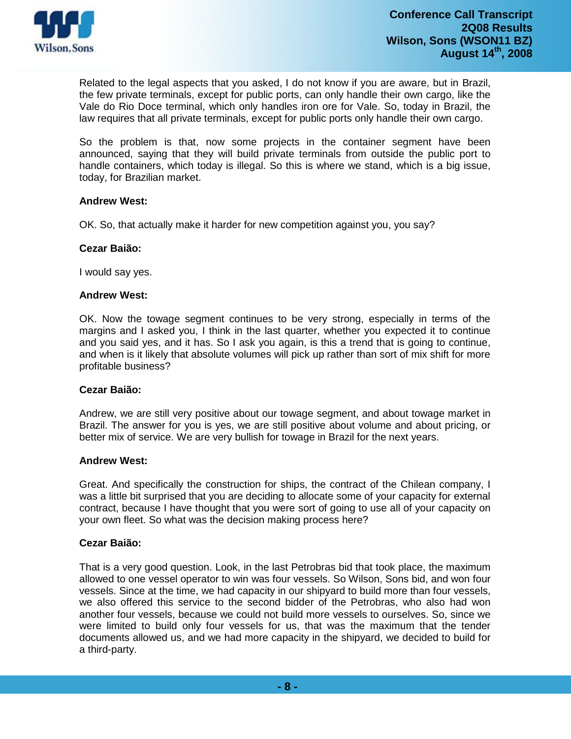

Related to the legal aspects that you asked, I do not know if you are aware, but in Brazil, the few private terminals, except for public ports, can only handle their own cargo, like the Vale do Rio Doce terminal, which only handles iron ore for Vale. So, today in Brazil, the law requires that all private terminals, except for public ports only handle their own cargo.

So the problem is that, now some projects in the container segment have been announced, saying that they will build private terminals from outside the public port to handle containers, which today is illegal. So this is where we stand, which is a big issue, today, for Brazilian market.

### **Andrew West:**

OK. So, that actually make it harder for new competition against you, you say?

# **Cezar Baião:**

I would say yes.

### **Andrew West:**

OK. Now the towage segment continues to be very strong, especially in terms of the margins and I asked you, I think in the last quarter, whether you expected it to continue and you said yes, and it has. So I ask you again, is this a trend that is going to continue, and when is it likely that absolute volumes will pick up rather than sort of mix shift for more profitable business?

### **Cezar Baião:**

Andrew, we are still very positive about our towage segment, and about towage market in Brazil. The answer for you is yes, we are still positive about volume and about pricing, or better mix of service. We are very bullish for towage in Brazil for the next years.

### **Andrew West:**

Great. And specifically the construction for ships, the contract of the Chilean company, I was a little bit surprised that you are deciding to allocate some of your capacity for external contract, because I have thought that you were sort of going to use all of your capacity on your own fleet. So what was the decision making process here?

### **Cezar Baião:**

That is a very good question. Look, in the last Petrobras bid that took place, the maximum allowed to one vessel operator to win was four vessels. So Wilson, Sons bid, and won four vessels. Since at the time, we had capacity in our shipyard to build more than four vessels, we also offered this service to the second bidder of the Petrobras, who also had won another four vessels, because we could not build more vessels to ourselves. So, since we were limited to build only four vessels for us, that was the maximum that the tender documents allowed us, and we had more capacity in the shipyard, we decided to build for a third-party.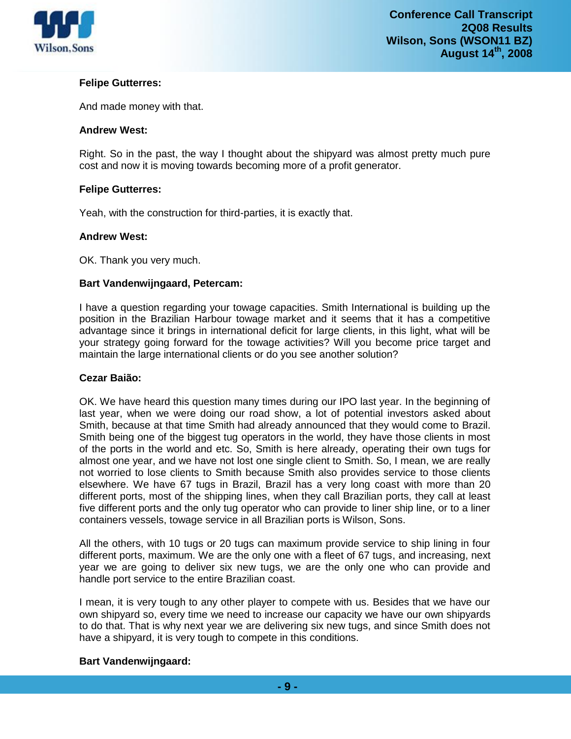

# **Felipe Gutterres:**

And made money with that.

### **Andrew West:**

Right. So in the past, the way I thought about the shipyard was almost pretty much pure cost and now it is moving towards becoming more of a profit generator.

## **Felipe Gutterres:**

Yeah, with the construction for third-parties, it is exactly that.

### **Andrew West:**

OK. Thank you very much.

### **Bart Vandenwijngaard, Petercam:**

I have a question regarding your towage capacities. Smith International is building up the position in the Brazilian Harbour towage market and it seems that it has a competitive advantage since it brings in international deficit for large clients, in this light, what will be your strategy going forward for the towage activities? Will you become price target and maintain the large international clients or do you see another solution?

### **Cezar Baião:**

OK. We have heard this question many times during our IPO last year. In the beginning of last year, when we were doing our road show, a lot of potential investors asked about Smith, because at that time Smith had already announced that they would come to Brazil. Smith being one of the biggest tug operators in the world, they have those clients in most of the ports in the world and etc. So, Smith is here already, operating their own tugs for almost one year, and we have not lost one single client to Smith. So, I mean, we are really not worried to lose clients to Smith because Smith also provides service to those clients elsewhere. We have 67 tugs in Brazil, Brazil has a very long coast with more than 20 different ports, most of the shipping lines, when they call Brazilian ports, they call at least five different ports and the only tug operator who can provide to liner ship line, or to a liner containers vessels, towage service in all Brazilian ports is Wilson, Sons.

All the others, with 10 tugs or 20 tugs can maximum provide service to ship lining in four different ports, maximum. We are the only one with a fleet of 67 tugs, and increasing, next year we are going to deliver six new tugs, we are the only one who can provide and handle port service to the entire Brazilian coast.

I mean, it is very tough to any other player to compete with us. Besides that we have our own shipyard so, every time we need to increase our capacity we have our own shipyards to do that. That is why next year we are delivering six new tugs, and since Smith does not have a shipyard, it is very tough to compete in this conditions.

### **Bart Vandenwijngaard:**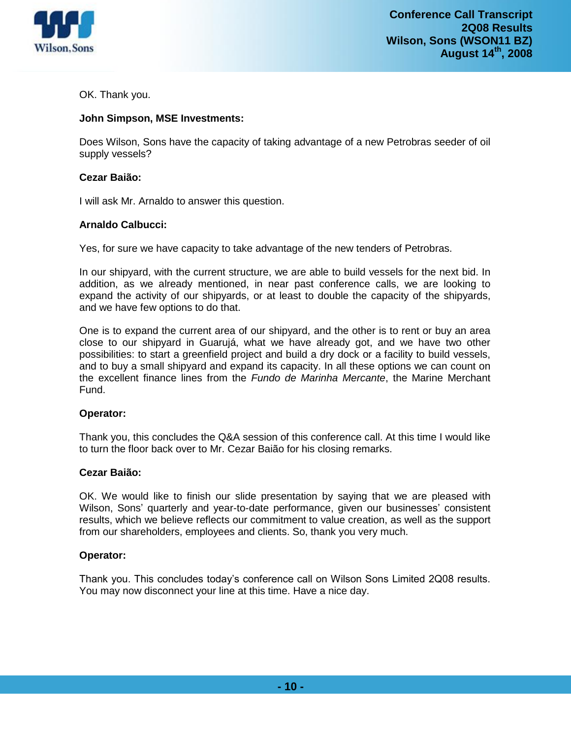

OK. Thank you.

# **John Simpson, MSE Investments:**

Does Wilson, Sons have the capacity of taking advantage of a new Petrobras seeder of oil supply vessels?

# **Cezar Baião:**

I will ask Mr. Arnaldo to answer this question.

# **Arnaldo Calbucci:**

Yes, for sure we have capacity to take advantage of the new tenders of Petrobras.

In our shipyard, with the current structure, we are able to build vessels for the next bid. In addition, as we already mentioned, in near past conference calls, we are looking to expand the activity of our shipyards, or at least to double the capacity of the shipyards, and we have few options to do that.

One is to expand the current area of our shipyard, and the other is to rent or buy an area close to our shipyard in Guarujá, what we have already got, and we have two other possibilities: to start a greenfield project and build a dry dock or a facility to build vessels, and to buy a small shipyard and expand its capacity. In all these options we can count on the excellent finance lines from the *Fundo de Marinha Mercante*, the Marine Merchant Fund.

# **Operator:**

Thank you, this concludes the Q&A session of this conference call. At this time I would like to turn the floor back over to Mr. Cezar Baião for his closing remarks.

### **Cezar Baião:**

OK. We would like to finish our slide presentation by saying that we are pleased with Wilson, Sons' quarterly and year-to-date performance, given our businesses' consistent results, which we believe reflects our commitment to value creation, as well as the support from our shareholders, employees and clients. So, thank you very much.

### **Operator:**

Thank you. This concludes today's conference call on Wilson Sons Limited 2Q08 results. You may now disconnect your line at this time. Have a nice day.